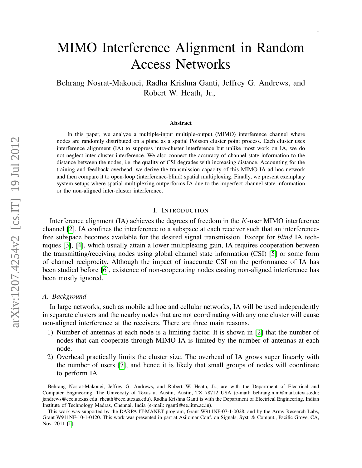# MIMO Interference Alignment in Random Access Networks

Behrang Nosrat-Makouei, Radha Krishna Ganti, Jeffrey G. Andrews, and Robert W. Heath, Jr.,

#### Abstract

In this paper, we analyze a multiple-input multiple-output (MIMO) interference channel where nodes are randomly distributed on a plane as a spatial Poisson cluster point process. Each cluster uses interference alignment (IA) to suppress intra-cluster interference but unlike most work on IA, we do not neglect inter-cluster interference. We also connect the accuracy of channel state information to the distance between the nodes, i.e. the quality of CSI degrades with increasing distance. Accounting for the training and feedback overhead, we derive the transmission capacity of this MIMO IA ad hoc network and then compare it to open-loop (interference-blind) spatial multiplexing. Finally, we present exemplary system setups where spatial multiplexing outperforms IA due to the imperfect channel state information or the non-aligned inter-cluster interference.

#### I. INTRODUCTION

Interference alignment (IA) achieves the degrees of freedom in the K-user MIMO interference channel [\[2\]](#page-16-0). IA confines the interference to a subspace at each receiver such that an interferencefree subspace becomes available for the desired signal transmission. Except for *blind* IA techniques [\[3\]](#page-16-1), [\[4\]](#page-16-2), which usually attain a lower multiplexing gain, IA requires cooperation between the transmitting/receiving nodes using global channel state information (CSI) [\[5\]](#page-16-3) or some form of channel reciprocity. Although the impact of inaccurate CSI on the performance of IA has been studied before [\[6\]](#page-16-4), existence of non-cooperating nodes casting non-aligned interference has been mostly ignored.

#### *A. Background*

In large networks, such as mobile ad hoc and cellular networks, IA will be used independently in separate clusters and the nearby nodes that are not coordinating with any one cluster will cause non-aligned interference at the receivers. There are three main reasons.

- 1) Number of antennas at each node is a limiting factor. It is shown in [\[2\]](#page-16-0) that the number of nodes that can cooperate through MIMO IA is limited by the number of antennas at each node.
- 2) Overhead practically limits the cluster size. The overhead of IA grows super linearly with the number of users [\[7\]](#page-16-5), and hence it is likely that small groups of nodes will coordinate to perform IA.

Behrang Nosrat-Makouei, Jeffrey G. Andrews, and Robert W. Heath, Jr., are with the Department of Electrical and Computer Engineering, The University of Texas at Austin, Austin, TX 78712 USA (e-mail: behrang.n.m@mail.utexas.edu; jandrews@ece.utexas.edu; rheath@ece.utexas.edu). Radha Krishna Ganti is with the Department of Electrical Engineering, Indian Institute of Technology Madras, Chennai, India (e-mail: rganti@ee.iitm.ac.in).

This work was supported by the DARPA IT-MANET program, Grant W911NF-07-1-0028, and by the Army Research Labs, Grant W911NF-10-1-0420. This work was presented in part at Asilomar Conf. on Signals, Syst. & Comput., Pacific Grove, CA, Nov. 2011 [\[1\]](#page-16-6).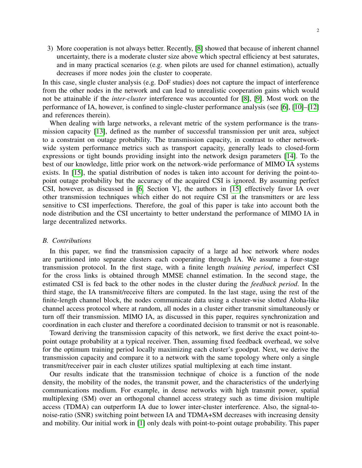3) More cooperation is not always better. Recently, [\[8\]](#page-16-7) showed that because of inherent channel uncertainty, there is a moderate cluster size above which spectral efficiency at best saturates, and in many practical scenarios (e.g. when pilots are used for channel estimation), actually decreases if more nodes join the cluster to cooperate.

In this case, single cluster analysis (e.g. DoF studies) does not capture the impact of interference from the other nodes in the network and can lead to unrealistic cooperation gains which would not be attainable if the *inter-cluster* interference was accounted for [\[8\]](#page-16-7), [\[9\]](#page-16-8). Most work on the performance of IA, however, is confined to single-cluster performance analysis (see [\[6\]](#page-16-4), [\[10\]](#page-16-9)–[\[12\]](#page-16-10) and references therein).

When dealing with large networks, a relevant metric of the system performance is the transmission capacity [\[13\]](#page-16-11), defined as the number of successful transmission per unit area, subject to a constraint on outage probability. The transmission capacity, in contrast to other networkwide system performance metrics such as transport capacity, generally leads to closed-form expressions or tight bounds providing insight into the network design parameters [\[14\]](#page-16-12). To the best of our knowledge, little prior work on the network-wide performance of MIMO IA systems exists. In [\[15\]](#page-16-13), the spatial distribution of nodes is taken into account for deriving the point-topoint outage probability but the accuracy of the acquired CSI is ignored. By assuming perfect CSI, however, as discussed in [\[6,](#page-16-4) Section V], the authors in [\[15\]](#page-16-13) effectively favor IA over other transmission techniques which either do not require CSI at the transmitters or are less sensitive to CSI imperfections. Therefore, the goal of this paper is take into account both the node distribution and the CSI uncertainty to better understand the performance of MIMO IA in large decentralized networks.

#### *B. Contributions*

In this paper, we find the transmission capacity of a large ad hoc network where nodes are partitioned into separate clusters each cooperating through IA. We assume a four-stage transmission protocol. In the first stage, with a finite length *training period*, imperfect CSI for the cross links is obtained through MMSE channel estimation. In the second stage, the estimated CSI is fed back to the other nodes in the cluster during the *feedback period*. In the third stage, the IA transmit/receive filters are computed. In the last stage, using the rest of the finite-length channel block, the nodes communicate data using a cluster-wise slotted Aloha-like channel access protocol where at random, all nodes in a cluster either transmit simultaneously or turn off their transmission. MIMO IA, as discussed in this paper, requires synchronization and coordination in each cluster and therefore a coordinated decision to transmit or not is reasonable.

Toward deriving the transmission capacity of this network, we first derive the exact point-topoint outage probability at a typical receiver. Then, assuming fixed feedback overhead, we solve for the optimum training period locally maximizing each cluster's goodput. Next, we derive the transmission capacity and compare it to a network with the same topology where only a single transmit/receiver pair in each cluster utilizes spatial multiplexing at each time instant.

Our results indicate that the transmission technique of choice is a function of the node density, the mobility of the nodes, the transmit power, and the characteristics of the underlying communications medium. For example, in dense networks with high transmit power, spatial multiplexing (SM) over an orthogonal channel access strategy such as time division multiple access (TDMA) can outperform IA due to lower inter-cluster interference. Also, the signal-tonoise-ratio (SNR) switching point between IA and TDMA+SM decreases with increasing density and mobility. Our initial work in [\[1\]](#page-16-6) only deals with point-to-point outage probability. This paper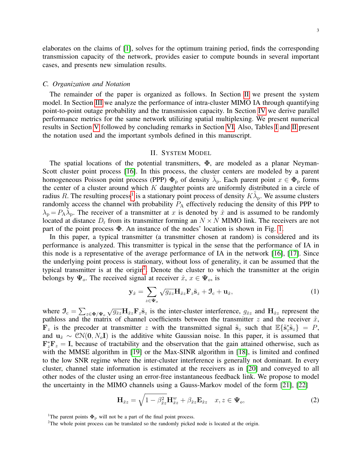elaborates on the claims of [\[1\]](#page-16-6), solves for the optimum training period, finds the corresponding transmission capacity of the network, provides easier to compute bounds in several important cases, and presents new simulation results.

#### *C. Organization and Notation*

The remainder of the paper is organized as follows. In Section [II](#page-2-0) we present the system model. In Section [III](#page-3-0) we analyze the performance of intra-cluster MIMO IA through quantifying point-to-point outage probability and the transmission capacity. In Section [IV](#page-8-0) we derive parallel performance metrics for the same network utilizing spatial multiplexing. We present numerical results in Section [V](#page-10-0) followed by concluding remarks in Section [VI.](#page-11-0) Also, Tables [I](#page-17-0) and [II](#page-17-1) present the notation used and the important symbols defined in this manuscript.

#### II. SYSTEM MODEL

<span id="page-2-0"></span>The spatial locations of the potential transmitters,  $\Phi$ , are modeled as a planar Neyman-Scott cluster point process [\[16\]](#page-16-14). In this process, the cluster centers are modeled by a parent homogeneous Poisson point process (PPP)  $\Phi_p$  of density  $\tilde{\lambda}_p$ . Each parent point  $x \in \Phi_p$  forms the center of a cluster around which  $K$  daughter points are uniformly distributed in a circle of radius R. The resulting process<sup>[1](#page-2-1)</sup> is a stationary point process of density  $K\tilde{\lambda}_p$ . We assume clusters randomly access the channel with probability  $P_A$  effectively reducing the density of this PPP to  $\lambda_p = P_A \tilde{\lambda}_p$ . The receiver of a transmitter at x is denoted by x and is assumed to be randomly located at distance  $D_r$  from its transmitter forming an  $N \times N$  MIMO link. The receivers are not part of the point process  $\Phi$ . An instance of the nodes' location is shown in Fig. [1.](#page-18-0)

In this paper, a typical transmitter (a transmitter chosen at random) is considered and its performance is analyzed. This transmitter is typical in the sense that the performance of IA in this node is a representative of the average performance of IA in the network [\[16\]](#page-16-14), [\[17\]](#page-16-15). Since the underlying point process is stationary, without loss of generality, it can be assumed that the typical transmitter is at the origin<sup>[2](#page-2-2)</sup>. Denote the cluster to which the transmitter at the origin belongs by  $\Psi_o$ . The received signal at receiver  $\hat{x}, x \in \Psi_o$ , is

<span id="page-2-3"></span>
$$
\mathbf{y}_{\hat{x}} = \sum_{z \in \Psi_o} \sqrt{g_{\hat{x}z}} \mathbf{H}_{\hat{x}z} \mathbf{F}_z \tilde{\mathbf{s}}_z + \mathbf{J}_c + \mathbf{u}_{\hat{x}}, \tag{1}
$$

where  $\mathcal{I}_c = \sum_{z \in \Phi/\Psi_o} \sqrt{g_{\hat{x}z}} \mathbf{H}_{\hat{x}z} \mathbf{F}_z \tilde{\mathbf{s}}_z$  is the inter-cluster interference,  $g_{\hat{x}z}$  and  $\mathbf{H}_{\hat{x}z}$  represent the pathloss and the matrix of channel coefficients between the transmitter  $z$  and the receiver  $\hat{x}$ ,  $\mathbf{F}_z$  is the precoder at transmitter z with the transmitted signal  $\tilde{\mathbf{s}}_z$  such that  $\mathbb{E}\{\tilde{\mathbf{s}}_z^*\tilde{\mathbf{s}}_z\} = P$ , and  $u_{\hat{x}} \sim \mathcal{CN}(0, N_oI)$  is the additive white Gaussian noise. In this paper, it is assumed that  $\mathbf{F}_{z}^{*}\mathbf{F}_{z} = \mathbf{I}$ , because of tractability and the observation that the gain attained otherwise, such as with the MMSE algorithm in [\[19\]](#page-16-16) or the Max-SINR algorithm in [\[18\]](#page-16-17), is limited and confined to the low SNR regime where the inter-cluster interference is generally not dominant. In every cluster, channel state information is estimated at the receivers as in [\[20\]](#page-16-18) and conveyed to all other nodes of the cluster using an error-free instantaneous feedback link. We propose to model the uncertainty in the MIMO channels using a Gauss-Markov model of the form [\[21\]](#page-16-19), [\[22\]](#page-16-20)

<span id="page-2-4"></span>
$$
\mathbf{H}_{\hat{x}z} = \sqrt{1 - \beta_{\hat{x}z}^2} \mathbf{H}_{\hat{x}z}^w + \beta_{\hat{x}z} \mathbf{E}_{\hat{x}z} \quad x, z \in \Psi_o,
$$
 (2)

<span id="page-2-1"></span><sup>&</sup>lt;sup>1</sup>The parent points  $\Phi_{\rm p}$  will not be a part of the final point process.

<span id="page-2-2"></span><sup>&</sup>lt;sup>2</sup>The whole point process can be translated so the randomly picked node is located at the origin.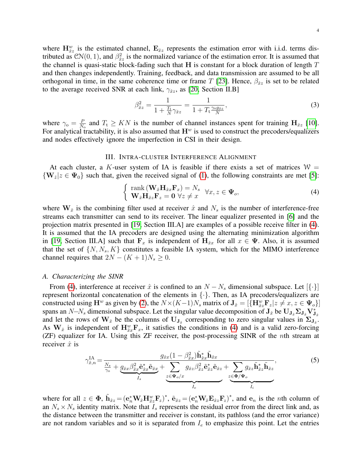where  $H_{\hat{x}z}^w$  is the estimated channel,  $E_{\hat{x}z}$  represents the estimation error with i.i.d. terms distributed as  $CN(0, 1)$ , and  $\beta_{\hat{x}z}^2$  is the normalized variance of the estimation error. It is assumed that the channel is quasi-static block-fading such that  $H$  is constant for a block duration of length  $T$ and then changes independently. Training, feedback, and data transmission are assumed to be all orthogonal in time, in the same coherence time or frame T [\[23\]](#page-16-21). Hence,  $\beta_{\hat{x}z}$  is set to be related to the average received SNR at each link,  $\gamma_{\hat{x}z}$ , as [\[20,](#page-16-18) Section II.B]

<span id="page-3-3"></span>
$$
\beta_{\hat{x}z}^2 = \frac{1}{1 + \frac{T_t}{N} \gamma_{\hat{x}z}} = \frac{1}{1 + T_t \frac{\gamma_0 g_{\hat{x}z}}{N}},\tag{3}
$$

where  $\gamma_{0} = \frac{P}{N}$  $\frac{P}{N_0}$  and  $T_t \geq KN$  is the number of channel instances spent for training  $H_{\hat{x}z}$  [\[10\]](#page-16-9). For analytical tractability, it is also assumed that  $H<sup>w</sup>$  is used to construct the precoders/equalizers and nodes effectively ignore the imperfection in CSI in their design.

#### III. INTRA-CLUSTER INTERFERENCE ALIGNMENT

<span id="page-3-0"></span>At each cluster, a K-user system of IA is feasible if there exists a set of matrices  $W =$  $\{W_{\hat{z}}|z \in \Psi_0\}$  such that, given the received signal of [\(1\)](#page-2-3), the following constraints are met [\[5\]](#page-16-3):

<span id="page-3-1"></span>
$$
\begin{cases}\n\text{rank}(\mathbf{W}_{\hat{x}}\mathbf{H}_{\hat{x}x}\mathbf{F}_{x}) = N_s & \forall x, z \in \Psi_o, \\
\mathbf{W}_{\hat{x}}\mathbf{H}_{\hat{x}z}\mathbf{F}_{z} = \mathbf{0} \,\forall z \neq x & \forall x, z \in \Psi_o,\n\end{cases} \tag{4}
$$

where  $W_{\hat{x}}$  is the combining filter used at receiver  $\hat{x}$  and  $N_s$  is the number of interference-free streams each transmitter can send to its receiver. The linear equalizer presented in [\[6\]](#page-16-4) and the projection matrix presented in [\[19,](#page-16-16) Section III.A] are examples of a possible receive filter in [\(4\)](#page-3-1). It is assumed that the IA precoders are designed using the alternating minimization algorithm in [\[19,](#page-16-16) Section III.A] such that  $\mathbf{F}_x$  is independent of  $\mathbf{H}_{\hat{x}x}$  for all  $x \in \Psi$ . Also, it is assumed that the set of  $\{N, N_s, K\}$  constitutes a feasible IA system, which for the MIMO interference channel requires that  $2N - (K + 1)N_s \geq 0$ .

#### *A. Characterizing the SINR*

From [\(4\)](#page-3-1), interference at receiver  $\hat{x}$  is confined to an  $N - N_s$  dimensional subspace. Let  $\{\{\cdot\}\}\$ represent horizontal concatenation of the elements in  $\{\cdot\}$ . Then, as IA precoders/equalizers are constructed using  $\mathbf{H}^w$  as given by [\(2\)](#page-2-4), the  $N \times (K-1)N_s$  matrix of  $\mathbf{J}_{\hat{x}} = [\{\mathbf{H}_{\hat{x}z}^w \mathbf{F}_z | z \neq x, z \in \Psi_o\}]$ spans an  $N-N_s$  dimensional subspace. Let the singular value decomposition of  $J_x$  be  $U_{J_x}\Sigma_{J_x}V_{J_x}^*$ and let the rows of  $W_{\hat{x}}$  be the columns of  $U_{J_{\hat{x}}}$  corresponding to zero singular values in  $\Sigma_{J_{\hat{x}}}$ . As  $W_{\hat{x}}$  is independent of  $H_{\hat{x}x}^wF_x$ , it satisfies the conditions in [\(4\)](#page-3-1) and is a valid zero-forcing (ZF) equalizer for IA. Using this ZF receiver, the post-processing SINR of the nth stream at receiver  $\hat{x}$  is

<span id="page-3-2"></span>
$$
\gamma_{\hat{x},n}^{\text{IA}} = \underbrace{\frac{g_{\hat{x}x}(1-\beta_{\hat{x}x}^2)\tilde{\mathbf{h}}_{\hat{x}x}^*\tilde{\mathbf{h}}_{\hat{x}x}}_{I_s} + \underbrace{g_{\hat{x}x}\beta_{\hat{x}x}^2\tilde{\mathbf{e}}_{\hat{x}x}^*\tilde{\mathbf{e}}_{\hat{x}x}}_{I_s} + \underbrace{\sum_{z \in \Psi_o/x} g_{\hat{x}z}\beta_{\hat{x}z}^2\tilde{\mathbf{e}}_{\hat{x}z}^*\tilde{\mathbf{e}}_{\hat{x}z}}_{I_e} + \underbrace{\sum_{z \in \Phi/\Psi_o} g_{\hat{x}z}\tilde{\mathbf{h}}_{\hat{x}z}^*\tilde{\mathbf{h}}_{\hat{x}z}}_{I_i}},\tag{5}
$$

where for all  $z \in \Phi$ ,  $\tilde{h}_{\hat{x}z} = (e_n^* W_{\hat{x}} H_{\hat{x}z}^w F_z)^*$ ,  $\tilde{e}_{\hat{x}z} = (e_n^* W_{\hat{x}} E_{\hat{x}z} F_z)^*$ , and  $e_n$  is the *n*th column of an  $N_s \times N_s$  identity matrix. Note that  $I_s$  represents the residual error from the direct link and, as the distance between the transmitter and receiver is constant, its pathloss (and the error variance) are not random variables and so it is separated from  $I<sub>e</sub>$  to emphasize this point. Let the entries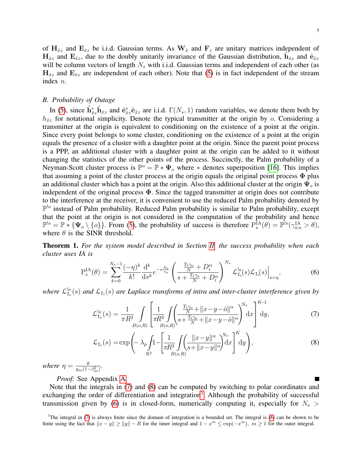of  $H_{\hat{x}z}$  and  $E_{\hat{x}z}$  be i.i.d. Gaussian terms. As  $W_{\hat{x}}$  and  $F_z$  are unitary matrices independent of  $H_{\hat{x}z}$  and  $E_{\hat{x}z}$ , due to the doubly unitarily invariance of the Gaussian distribution,  $\hat{h}_{\hat{x}z}$  and  $\tilde{e}_{\hat{x}z}$ will be column vectors of length  $N<sub>s</sub>$  with i.i.d. Gaussian terms and independent of each other (as  $H_{\hat{x}z}$  and  $E_{\hat{x}z}$  are independent of each other). Note that [\(5\)](#page-3-2) is in fact independent of the stream index n.

#### *B. Probability of Outage*

In [\(5\)](#page-3-2), since  $\tilde{\mathbf{h}}_{\hat{x}z}^* \tilde{\mathbf{h}}_{\hat{x}z}$  and  $\tilde{\mathbf{e}}_{\hat{x}z}^* \tilde{\mathbf{e}}_{\hat{x}z}$  are i.i.d.  $\Gamma(N_s, 1)$  random variables, we denote them both by  $h_{\hat{x}z}$  for notational simplicity. Denote the typical transmitter at the origin by o. Considering a transmitter at the origin is equivalent to conditioning on the existence of a point at the origin. Since every point belongs to some cluster, conditioning on the existence of a point at the origin equals the presence of a cluster with a daughter point at the origin. Since the parent point process is a PPP, an additional cluster with a daughter point at the origin can be added to it without changing the statistics of the other points of the process. Succinctly, the Palm probability of a Neyman-Scott cluster process is  $\mathbb{P}^{\circ} = \mathbb{P} * \Psi_o$  where  $*$  denotes superposition [\[16\]](#page-16-14). This implies that assuming a point of the cluster process at the origin equals the original point process  $\Phi$  plus an additional cluster which has a point at the origin. Also this additional cluster at the origin  $\Psi_o$  is independent of the original process  $\Phi$ . Since the tagged transmitter at origin does not contribute to the interference at the receiver, it is convenient to use the reduced Palm probability denoted by  $\mathbb{P}^{\cdot|o}$  instead of Palm probability. Reduced Palm probability is similar to Palm probability, except that the point at the origin is not considered in the computation of the probability and hence  $\mathbb{P}^{\circ} = \mathbb{P} * \{\Psi_o \setminus \{o\}\}\.$  From [\(5\)](#page-3-2), the probability of success is therefore  $P^{\text{IA}}_s(\theta) = \mathbb{P}^{\circ}(\gamma^{\text{IA}}_{\hat{o},n} > \theta),$ where  $\theta$  is the SINR threshold.

<span id="page-4-4"></span>Theorem 1. *For the system model described in Section [II,](#page-2-0) the success probability when each cluster uses IA is*

$$
P_s^{IA}(\theta) = \sum_{k=0}^{N_s-1} \frac{(-\eta)^k}{k!} \frac{d^k}{ds^k} e^{-s\frac{N_s}{\gamma_o}} \left( \frac{\frac{T_t \gamma_o}{N} + D_r^{\alpha}}{s + \frac{T_t \gamma_o}{N} + D_r^{\alpha}} \right)^{N_s} \mathcal{L}_{I_e}^{!o}(s) \mathcal{L}_{I_i}(s) \Big|_{s=\eta}, \tag{6}
$$

where  $\mathcal{L}^{!o}_{I_e}(s)$  and  $\mathcal{L}_{I_i}(s)$  are Laplace transforms of intra and inter-cluster interference given by

$$
\mathcal{L}_{\mathrm{I}_{e}}^{\mathrm{lo}}(s) = \frac{1}{\pi R^{2}} \int_{B(o,R)} \left[ \frac{1}{\pi R^{2}} \int_{B(o,R)} \left( \frac{\frac{T_{\mathrm{t}}\gamma_{o}}{N} + \|x - y - \hat{o}\|^{\alpha}}{s + \frac{T_{\mathrm{t}}\gamma_{o}}{N} + \|x - y - \hat{o}\|^{\alpha}} \right)^{N_{s}} \mathrm{d}x \right]^{K-1} \mathrm{d}y, \tag{7}
$$

$$
\mathcal{L}_{\mathbf{I}_i}(s) = \exp\left(-\lambda_p \int_{\mathbb{R}^2} \left[\frac{1}{\pi R^2} \int_{B(o,R)} \left(\frac{\|x-y\|^\alpha}{s+\|x-y\|^\alpha}\right)^{N_s} \mathrm{d}x\right]^{K} \mathrm{d}y\right),\tag{8}
$$

*where*  $\eta = \frac{\theta}{\cos(1-\theta)}$  $\frac{\theta}{g_{\hat{o}o}(1-\beta_{\hat{o}o}^2)}$ .

*Proof:* See Appendix [A.](#page-11-1)

Note that the integrals in [\(7\)](#page-4-0) and [\(8\)](#page-4-1) can be computed by switching to polar coordinates and exchanging the order of differentiation and integration<sup>[3](#page-4-2)</sup>. Although the probability of successful transmission given by [\(6\)](#page-4-3) is in closed-form, numerically computing it, especially for  $N_s >$ 

<span id="page-4-2"></span> $3$ The integral in [\(7\)](#page-4-0) is always finite since the domain of integration is a bounded set. The integral is [\(8\)](#page-4-1) can be shown to be finite using the fact that  $||x - y|| \ge ||y|| - R$  for the inner integral and  $1 - x^m \le \exp(-x^m)$ ,  $m \ge 1$  for the outer integral.

<span id="page-4-3"></span><span id="page-4-1"></span><span id="page-4-0"></span>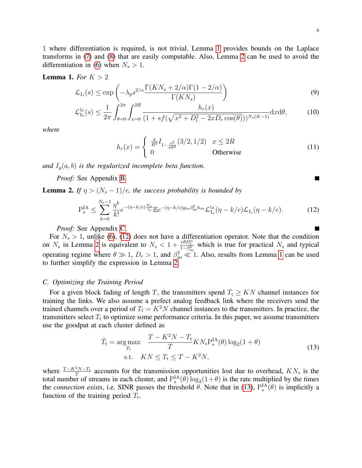1 where differentiation is required, is not trivial. Lemma [1](#page-5-0) provides bounds on the Laplace transforms in [\(7\)](#page-4-0) and [\(8\)](#page-4-1) that are easily computable. Also, Lemma [2](#page-5-1) can be used to avoid the differentiation in [\(6\)](#page-4-3) when  $N_s > 1$ .

<span id="page-5-0"></span>**Lemma 1.** *For*  $K > 2$ 

$$
\mathcal{L}_{\mathbf{I}_i}(s) \le \exp\left(-\lambda_p s^{2/\alpha} \frac{\Gamma(KN_s + 2/\alpha)\Gamma(1 - 2/\alpha)}{\Gamma(KN_s)}\right) \tag{9}
$$

$$
\mathcal{L}_{\mathrm{I}_{e}}^{!o}(s) \leq \frac{1}{2\pi} \int_{\theta=0}^{2\pi} \int_{x=0}^{2R} \frac{h_{r}(x)}{(1 + sf(\sqrt{x^{2} + D_{r}^{2} - 2xD_{r}\cos(\theta)}))^{N_{s}(K-1)}} \mathrm{d}x \mathrm{d}\theta, \tag{10}
$$

*where*

$$
h_r(x) = \begin{cases} \frac{x}{R^2} I_{1-\frac{x^2}{4R^2}}(3/2, 1/2) & x \le 2R\\ 0 & \text{Otherwise} \end{cases}
$$
(11)

*and*  $I_y(a, b)$  *is the regularized incomplete beta function.* 

*Proof:* See Appendix [B.](#page-13-0)

<span id="page-5-1"></span>**Lemma 2.** If  $\eta > (N_s - 1)/e$ , the success probability is bounded by

$$
P_{s}^{IA} \leq \sum_{k=0}^{N_{s}-1} \frac{\eta^{k}}{k!} e^{-(\eta - k/e) \frac{N_{s}}{\gamma_{o}}} \mathbb{E}e^{-(\eta - k/e)g_{\hat{o}o}\beta_{\hat{o}o}^{2}h_{\hat{o}o}} \mathcal{L}_{I_{e}}^{lo}(\eta - k/e) \mathcal{L}_{I_{i}}(\eta - k/e). \tag{12}
$$

*Proof:* See Appendix [C.](#page-14-0)

For  $N_s > 1$ , unlike [\(6\)](#page-4-3), [\(12\)](#page-5-2) does not have a differentiation operator. Note that the condition on  $N_s$  in Lemma [2](#page-5-1) is equivalent to  $N_s < 1 + \frac{e^{\theta D_x^{\alpha}}}{1 - \beta_{\hat{\theta}^{\alpha}}^2}$  which is true for practical  $N_s$  and typical operating regime where  $\theta \gg 1$  $\theta \gg 1$ ,  $D_r > 1$ , and  $\beta_{\hat{\theta} \hat{\theta}}^2 \ll 1$ . Also, results from Lemma 1 can be used to further simplify the expression in Lemma [2.](#page-5-1)

#### *C. Optimizing the Training Period*

For a given block fading of length T, the transmitters spend  $T_t \geq KN$  channel instances for training the links. We also assume a prefect analog feedback link where the receivers send the trained channels over a period of  $T_f = K^2 N$  channel instances to the transmitters. In practice, the transmitters select  $T_t$  to optimize some performance criteria. In this paper, we assume transmitters use the goodput at each cluster defined as

$$
\hat{T}_t = \underset{T_t}{\arg \max} \frac{T - K^2 N - T_t}{T} K N_s P_s^{IA}(\theta) \log_2(1 + \theta)
$$
\n
$$
\text{s.t.} \quad KN \le T_t \le T - K^2 N,\tag{13}
$$

where  $\frac{T-K^2N-T_{\rm t}}{T}$  accounts for the transmission opportunities lost due to overhead,  $KN_s$  is the total number of streams in each cluster, and  $P_s^{\text{IA}}(\theta) \log_2(1+\theta)$  is the rate multiplied by the times the *connection exists*, i.e. SINR passes the threshold  $\theta$ . Note that in [\(13\)](#page-5-3),  $P_s^{\text{IA}}(\theta)$  is implicitly a function of the training period  $T_t$ .

<span id="page-5-6"></span><span id="page-5-5"></span><span id="page-5-4"></span><span id="page-5-2"></span>г

<span id="page-5-3"></span>L.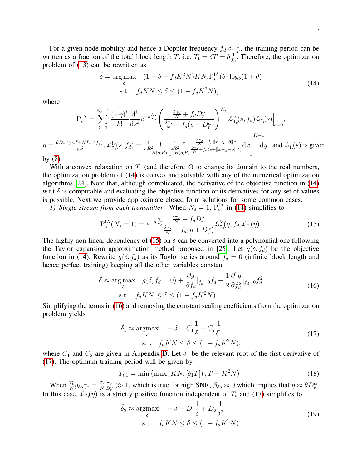For a given node mobility and hence a Doppler frequency  $f_d \approx \frac{1}{T}$  $\frac{1}{T}$ , the training period can be written as a fraction of the total block length T, i.e.  $T_t = \delta T = \delta \frac{1}{t}$  $\frac{1}{f_d}$ . Therefore, the optimization problem of [\(13\)](#page-5-3) can be rewritten as

<span id="page-6-0"></span>
$$
\hat{\delta} = \underset{\delta}{\arg \max} \quad (1 - \delta - f_d K^2 N) K N_s P_s^{\text{IA}}(\theta) \log_2(1 + \theta)
$$
\n
$$
\text{s.t.} \quad f_d K N \le \delta \le (1 - f_d K^2 N), \tag{14}
$$

where

$$
P_{s}^{IA} = \sum_{k=0}^{N_{s}-1} \frac{(-\eta)^{k}}{k!} \frac{d^{k}}{ds^{k}} e^{-s \frac{N_{s}}{\gamma_{o}}} \left( \frac{\frac{\delta \gamma_{o}}{N} + f_{d}D_{r}^{\alpha}}{\frac{\delta \gamma_{o}}{N} + f_{d}(s + D_{r}^{\alpha})} \right)^{N_{s}} \mathcal{L}_{I_{e}}^{!o}(s, f_{d}) \mathcal{L}_{I_{i}}(s) \Big|_{s=\eta},
$$
  

$$
\eta = \frac{\theta D_{r}^{\alpha}(\gamma_{o}\delta + ND_{r}^{\alpha}f_{d})}{\gamma_{o}\delta}, \mathcal{L}_{I_{e}}^{!o}(s, f_{d}) = \frac{1}{\pi R^{2}} \int_{B(o,R)} \left[ \frac{1}{\pi R^{2}} \int_{B(o,R)} \frac{\frac{\delta \gamma_{o}}{N} + f_{d} \|x - y - \hat{o}\|^{\alpha}}{\frac{\delta \gamma_{o}}{N} + f_{d}(s + \|x - y - \hat{o}\|^{\alpha})} dx \right]^{K-1} dy, \text{ and } \mathcal{L}_{I_{i}}(s) \text{ is given}
$$

by [\(8\)](#page-4-1).

With a convex relaxation on  $T_t$  (and therefore  $\delta$ ) to change its domain to the real numbers, the optimization problem of [\(14\)](#page-6-0) is convex and solvable with any of the numerical optimization algorithms [\[24\]](#page-16-22). Note that, although complicated, the derivative of the objective function in [\(14\)](#page-6-0) w.r.t  $\delta$  is computable and evaluating the objective function or its derivatives for any set of values is possible. Next we provide approximate closed form solutions for some common cases.

*1)* Single stream from each transmitter: When  $N_s = 1$ ,  $P_s^{\text{IA}}$  in [\(14\)](#page-6-0) simplifies to

<span id="page-6-1"></span>
$$
P_s^{IA}(N_s = 1) = e^{-\eta \frac{N_s}{\gamma_o}} \frac{\frac{\delta \gamma_o}{N} + f_d D_r^{\alpha}}{\frac{\delta \gamma_o}{N} + f_d(\eta + D_r^{\alpha})} \mathcal{L}_{I_e}^{!o}(\eta, f_d) \mathcal{L}_{I_i}(\eta). \tag{15}
$$

The highly non-linear dependency of [\(15\)](#page-6-1) on  $\delta$  can be converted into a polynomial one following the Taylor expansion approximation method proposed in [\[25\]](#page-16-23). Let  $g(\delta, f_d)$  be the objective function in [\(14\)](#page-6-0). Rewrite  $g(\delta, f_d)$  as its Taylor series around  $f_d = 0$  (infinite block length and hence perfect training) keeping all the other variables constant

$$
\hat{\delta} \approx \underset{\delta}{\arg \max} \quad g(\delta, f_d = 0) + \frac{\partial g}{\partial f_d} |_{f_d = 0} f_d + \frac{1}{2} \frac{\partial^2 g}{\partial f_d^2} |_{f_d = 0} f_d^2
$$
\n
$$
\text{s.t.} \quad f_d K N \le \delta \le (1 - f_d K^2 N).
$$
\n(16)

Simplifying the terms in [\(16\)](#page-6-2) and removing the constant scaling coefficients from the optimization problem yields

<span id="page-6-3"></span><span id="page-6-2"></span>
$$
\hat{\delta}_1 \approx \underset{\delta}{\text{argmax}} \quad -\delta + C_1 \frac{1}{\delta} + C_2 \frac{1}{\delta^2}
$$
\n
$$
\text{s.t.} \quad f_d K N \le \delta \le (1 - f_d K^2 N), \tag{17}
$$

where  $C_1$  and  $C_2$  are given in Appendix [D.](#page-14-1) Let  $\delta_1$  be the relevant root of the first derivative of [\(17\)](#page-6-3). The optimum training period will be given by

<span id="page-6-5"></span>
$$
\hat{T}_{t,1} = \min\left(\max\left(KN, \left[\delta_1 T\right]\right), T - K^2 N\right). \tag{18}
$$

When  $\frac{T_{\rm t}}{N}g_{\hat{o}o}\gamma_{\rm o}=\frac{T_{\rm t}}{N}$ N  $\gamma$ o  $\frac{\gamma_0}{D_r^{\alpha}} \gg 1$ , which is true for high SNR,  $\beta_{\hat{\theta}o} \approx 0$  which implies that  $\eta \approx \theta D_r^{\alpha}$ . In this case,  $\mathcal{L}_{I_i}(\eta)$  is a strictly positive function independent of  $T_t$  and [\(17\)](#page-6-3) simplifies to

<span id="page-6-4"></span>
$$
\hat{\delta}_2 \approx \underset{\delta}{\text{argmax}} \quad -\delta + D_1 \frac{1}{\delta} + D_2 \frac{1}{\delta^2}
$$
\n
$$
\text{s.t.} \quad f_d K N \le \delta \le (1 - f_d K^2 N), \tag{19}
$$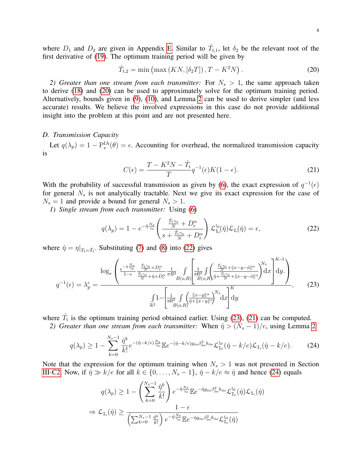where  $D_1$  and  $D_2$  are given in Appendix [E.](#page-15-0) Similar to  $\hat{T}_{t,1}$ , let  $\delta_2$  be the relevant root of the first derivative of [\(19\)](#page-6-4). The optimum training period will be given by

<span id="page-7-0"></span>
$$
\hat{T}_{t,2} = \min\left(\max\left(KN, \left[\delta_2 T\right]\right), T - K^2 N\right). \tag{20}
$$

<span id="page-7-4"></span>*2)* Greater than one stream from each transmitter: For  $N_s > 1$ , the same approach taken to derive [\(18\)](#page-6-5) and [\(20\)](#page-7-0) can be used to approximately solve for the optimum training period. Alternatively, bounds given in [\(9\)](#page-5-4), [\(10\)](#page-5-5), and Lemma [2](#page-5-1) can be used to derive simpler (and less accurate) results. We believe the involved expressions in this case do not provide additional insight into the problem at this point and are not presented here.

#### *D. Transmission Capacity*

Let  $q(\lambda_p) = 1 - P_s^{\text{IA}}(\theta) = \epsilon$ . Accounting for overhead, the normalized transmission capacity is

<span id="page-7-3"></span><span id="page-7-1"></span>
$$
C(\epsilon) = \frac{T - K^2 N - \hat{T}_t}{T} q^{-1}(\epsilon) K(1 - \epsilon).
$$
 (21)

With the probability of successful transmission as given by [\(6\)](#page-4-3), the exact expression of  $q^{-1}(\epsilon)$ for general  $N_s$  is not analytically tractable. Next we give its exact expression for the case of  $N_s = 1$  and provide a bound for general  $N_s > 1$ .

*1) Single stream from each transmitter:* Using [\(6\)](#page-4-3)

<span id="page-7-2"></span>
$$
q(\lambda_p) = 1 - e^{-\hat{\eta} \frac{N_s}{\gamma_o}} \left( \frac{\frac{\hat{T}_{\rm t}\gamma_o}{N} + D_{\rm r}^{\alpha}}{s + \frac{\hat{T}_{\rm t}\gamma_o}{N} + D_{\rm r}^{\alpha}} \right) \mathcal{L}_{\rm I_e}^{lo}(\hat{\eta}) \mathcal{L}_{\rm I_i}(\hat{\eta}) = \epsilon, \tag{22}
$$

where  $\hat{\eta} = \eta|_{T_t = \hat{T}_t}$ . Substituting [\(7\)](#page-4-0) and [\(8\)](#page-4-1) into [\(22\)](#page-7-1) gives

$$
q^{-1}(\epsilon) = \lambda_p^{\epsilon} = \frac{\log_{\epsilon} \left( \frac{e^{-\hat{\eta} \frac{N_s}{\gamma_0}}}{1-\epsilon} \frac{\frac{\hat{T}_1 \gamma_0}{N} + D_{\Gamma}^{\alpha}}{\frac{\hat{T}_1 \gamma_0}{N} + \hat{\eta} + D_{\Gamma}^{\alpha}} \frac{1}{\pi R^2} \int_{B(o,R)} \left( \frac{\frac{1}{N} \int_{\overline{R}^2} \int_{\overline{R}^2 \gamma_0 + ||x - y - \hat{o}||^{\alpha}}}{B(o,R) \hat{\eta} + \frac{\hat{T}_1 \gamma_0}{N} + ||x - y - \hat{o}||^{\alpha}} \right)^{N_s} dx \right] dy}{\int_{\mathbb{R}^2} 1 - \left[ \frac{1}{\pi R^2} \int_{B(o,R)} \left( \frac{||x - y||^{\alpha}}{\hat{\eta} + ||x - y||^{\alpha}} \right)^{N_s} dx \right] dy}, \quad (23)
$$

where  $\hat{T}_t$  is the optimum training period obtained earlier. Using [\(23\)](#page-7-2), [\(21\)](#page-7-3) can be computed.

*2)* Greater than one stream from each transmitter: When  $\hat{\eta} > (N_s - 1)/e$ , using Lemma [2](#page-5-1)

$$
q(\lambda_p) \ge 1 - \sum_{k=0}^{N_s - 1} \frac{\hat{\eta}^k}{k!} e^{-(\hat{\eta} - k/e) \frac{N_s}{\gamma_o}} \mathbb{E} e^{-(\hat{\eta} - k/e) g_{\hat{o}o} \beta_{\hat{o}o}^2 h_{\hat{o}o}} \mathcal{L}_{\mathbf{I}_e}^{!o}(\hat{\eta} - k/e) \mathcal{L}_{\mathbf{I}_i}(\hat{\eta} - k/e). \tag{24}
$$

Note that the expression for the optimum training when  $N_s > 1$  was not presented in Section [III-C2.](#page-7-4) Now, if  $\hat{\eta} \gg k/e$  for all  $k \in \{0, ..., N_s - 1\}$ ,  $\hat{\eta} - k/e \approx \hat{\eta}$  and hence [\(24\)](#page-7-5) equals

<span id="page-7-5"></span>
$$
q(\lambda_p) \ge 1 - \left(\sum_{k=0}^{N_s-1} \frac{\hat{\eta}^k}{k!} \right) e^{-\hat{\eta} \frac{N_s}{\gamma_o}} \mathbb{E} e^{-\hat{\eta} g_{\hat{o}o} \beta_{\hat{o}o}^2 h_{\hat{o}o}} \mathcal{L}_{\mathbf{I}_e}^{\mathbf{I}_o}(\hat{\eta}) \mathcal{L}_{\mathbf{I}_i}(\hat{\eta})
$$
  

$$
\Rightarrow \mathcal{L}_{\mathbf{I}_i}(\hat{\eta}) \ge \frac{1 - \epsilon}{\left(\sum_{k=0}^{N_s-1} \frac{\hat{\eta}^k}{k!} \right) e^{-\hat{\eta} \frac{N_s}{\gamma_o}} \mathbb{E} e^{-\hat{\eta} g_{\hat{o}o} \beta_{\hat{o}o}^2 h_{\hat{o}o}} \mathcal{L}_{\mathbf{I}_e}^{\mathbf{I}_o}(\hat{\eta})}
$$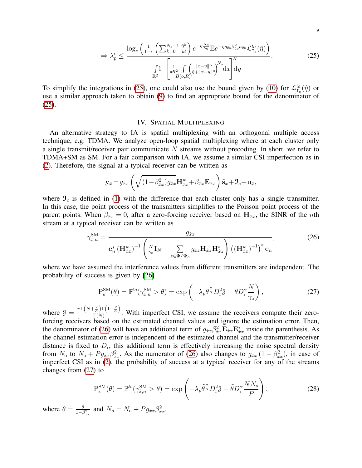$\Rightarrow \lambda_p^{\epsilon} \leq$  $\log_e\left(\frac{1}{1-}\right)$  $\frac{1}{1-\epsilon}\left(\sum_{k=0}^{N_s-1}\right)$  $\hat{\eta}^k$  $\hat{\eta}^k \over k! \bigg) \, e^{- \hat{\eta} \frac{N_s}{\gamma_{\rm o}}} \mathbb{E} e^{ - \hat{\eta} g_{\hat{o} o} \beta_{\hat{o} o}^2 h_{\hat{o} o}} \mathcal{L}_{\rm I_{e}}^{\rm lo}(\hat{\eta}) \Big)$ R  $\mathbb{R}^2$ 1−  $\begin{bmatrix} 1 \end{bmatrix}$  $\frac{1}{\pi R^2}$   $\int$  $B(o,R)$  $\int$   $||x-y||^{\alpha}$  $\frac{\|x-y\|^{\alpha}}{\hat{\eta}+\|x-y\|^{\alpha}}\Big|^{N_s}\!\mathrm{d}x$  $\mathcal{I}^K$  $\mathrm{d} y$  $(25)$ 

To simplify the integrations in [\(25\)](#page-8-1), one could also use the bound given by [\(10\)](#page-5-5) for  $\mathcal{L}_{I_e}^{!o}(\hat{\eta})$  or use a similar approach taken to obtain [\(9\)](#page-5-4) to find an appropriate bound for the denominator of [\(25\)](#page-8-1).

#### <span id="page-8-2"></span><span id="page-8-1"></span>IV. SPATIAL MULTIPLEXING

<span id="page-8-0"></span>An alternative strategy to IA is spatial multiplexing with an orthogonal multiple access technique, e.g. TDMA. We analyze open-loop spatial multiplexing where at each cluster only a single transmit/receiver pair communicate  $N$  streams without precoding. In short, we refer to TDMA+SM as SM. For a fair comparison with IA, we assume a similar CSI imperfection as in [\(2\)](#page-2-4). Therefore, the signal at a typical receiver can be written as

$$
\mathbf{y}_{\hat{x}} = g_{\hat{x}x} \left( \sqrt{(1-\beta_{\hat{x}x}^2)g_{\hat{x}x}} \mathbf{H}_{\hat{x}x}^w + \beta_{\hat{x}x} \mathbf{E}_{\hat{x}x} \right) \tilde{\mathbf{s}}_x + \mathbf{J}_c + \mathbf{u}_{\hat{x}},
$$

where  $\mathcal{I}_c$  is defined in [\(1\)](#page-2-3) with the difference that each cluster only has a single transmitter. In this case, the point process of the transmitters simplifies to the Poisson point process of the parent points. When  $\beta_{\hat{x}x} = 0$ , after a zero-forcing receiver based on  $\mathbf{H}_{\hat{x}x}$ , the SINR of the *n*th stream at a typical receiver can be written as

$$
\gamma_{\hat{x},n}^{\text{SM}} = \frac{g_{\hat{x}x}}{\mathbf{e}_n^* \left(\mathbf{H}_{\hat{x}x}^w\right)^{-1} \left(\frac{N}{\gamma_o} \mathbf{I}_N + \sum_{z \in \Phi/\Psi_o} g_{\hat{x}z} \mathbf{H}_{\hat{x}z} \mathbf{H}_{\hat{x}z}^*\right) \left(\left(\mathbf{H}_{\hat{x}x}^w\right)^{-1}\right)^* \mathbf{e}_n},\tag{26}
$$

where we have assumed the interference values from different transmitters are independent. The probability of success is given by [\[26\]](#page-16-24)

<span id="page-8-3"></span>
$$
P_s^{\rm SM}(\theta) = \mathbb{P}^{\rm lo}(\gamma_{\hat{x},n}^{\rm SM} > \theta) = \exp\left(-\lambda_p \theta^{\frac{2}{\alpha}} D_r^2 \partial - \theta D_r^{\alpha} \frac{N}{\gamma_0}\right),\tag{27}
$$

where  $\theta = \frac{\pi \Gamma \left(N + \frac{2}{\alpha}\right) \Gamma\left(1 - \frac{2}{\alpha}\right)}{\Gamma(N)}$  $\frac{\alpha}{\Gamma(N)}$ . With imperfect CSI, we assume the receivers compute their zeroforcing receivers based on the estimated channel values and ignore the estimation error. Then, the denominator of [\(26\)](#page-8-2) will have an additional term of  $g_{\hat{x}x}\beta_{\hat{x}x}^2 \mathbf{E}_{\hat{x}x} \mathbf{E}_{\hat{x}x}^*$  inside the parenthesis. As the channel estimation error is independent of the estimated channel and the transmitter/receiver distance is fixed to  $D_r$ , this additional term is effectively increasing the noise spectral density from  $N_0$  to  $N_0 + P g_{\hat{x}x} \beta_{\hat{x}x}^2$ . As the numerator of [\(26\)](#page-8-2) also changes to  $g_{\hat{x}x} (1 - \beta_{\hat{x}x}^2)$ , in case of imperfect CSI as in [\(2\)](#page-2-4), the probability of success at a typical receiver for any of the streams changes from [\(27\)](#page-8-3) to

<span id="page-8-4"></span>
$$
P_s^{\rm SM}(\theta) = \mathbb{P}^{\rm lo}(\gamma_{\hat{x},n}^{\rm SM} > \theta) = \exp\left(-\lambda_p \tilde{\theta}^{\frac{2}{\alpha}} D_r^2 \mathcal{J} - \tilde{\theta} D_r^{\alpha} \frac{N \tilde{N}_o}{P}\right),\tag{28}
$$

where  $\tilde{\theta} = \frac{\theta}{1-\theta}$  $\frac{\theta}{1-\beta_{\hat{x}x}^2}$  and  $\tilde{N}_o = N_o + P g_{\hat{x}x} \beta_{\hat{x}x}^2$ .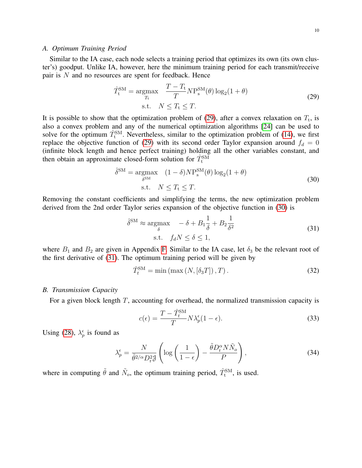#### *A. Optimum Training Period*

Similar to the IA case, each node selects a training period that optimizes its own (its own cluster's) goodput. Unlike IA, however, here the minimum training period for each transmit/receive pair is N and no resources are spent for feedback. Hence

<span id="page-9-0"></span>
$$
\hat{T}_{t}^{\text{SM}} = \underset{T_{t}}{\operatorname{argmax}} \quad \frac{T - T_{t}}{T} N P_{s}^{\text{SM}}(\theta) \log_{2}(1 + \theta)
$$
\n
$$
\text{s.t.} \quad N \leq T_{t} \leq T. \tag{29}
$$

It is possible to show that the optimization problem of [\(29\)](#page-9-0), after a convex relaxation on  $T_t$ , is also a convex problem and any of the numerical optimization algorithms [\[24\]](#page-16-22) can be used to solve for the optimum  $\hat{T}_{\text{t}}^{\text{SM}}$ . Nevertheless, similar to the optimization problem of [\(14\)](#page-6-0), we first replace the objective function of [\(29\)](#page-9-0) with its second order Taylor expansion around  $f_d = 0$ (infinite block length and hence perfect training) holding all the other variables constant, and then obtain an approximate closed-form solution for  $\hat{T}_{t}^{SM}$ 

$$
\hat{\delta}^{\rm SM} = \underset{\delta^{\rm SM}}{\text{argmax}} \quad (1 - \delta) N P_{\rm s}^{\rm SM}(\theta) \log_2(1 + \theta)
$$
\n
$$
\text{s.t.} \quad N \le T_{\rm t} \le T. \tag{30}
$$

Removing the constant coefficients and simplifying the terms, the new optimization problem derived from the 2nd order Taylor series expansion of the objective function in [\(30\)](#page-9-1) is

<span id="page-9-2"></span><span id="page-9-1"></span>
$$
\hat{\delta}^{\rm SM} \approx \underset{\delta}{\text{argmax}} \quad -\delta + B_1 \frac{1}{\delta} + B_2 \frac{1}{\delta^2}
$$
\n
$$
\text{s.t.} \quad f_d N \le \delta \le 1,
$$
\n
$$
(31)
$$

where  $B_1$  and  $B_2$  are given in Appendix [F.](#page-15-1) Similar to the IA case, let  $\delta_3$  be the relevant root of the first derivative of [\(31\)](#page-9-2). The optimum training period will be given by

$$
\hat{T}_t^{\text{SM}} = \min\left(\max\left(N, [\delta_3 T]\right), T\right). \tag{32}
$$

#### *B. Transmission Capacity*

For a given block length  $T$ , accounting for overhead, the normalized transmission capacity is

<span id="page-9-5"></span><span id="page-9-4"></span><span id="page-9-3"></span>
$$
c(\epsilon) = \frac{T - \hat{T}_t^{\text{SM}}}{T} N \lambda_p^{\epsilon} (1 - \epsilon).
$$
 (33)

Using [\(28\)](#page-8-4),  $\lambda_p^{\epsilon}$  is found as

$$
\lambda_p^{\epsilon} = \frac{N}{\tilde{\theta}^{2/\alpha} D_{\rm r}^2 \mathcal{J}} \left( \log \left( \frac{1}{1 - \epsilon} \right) - \frac{\tilde{\theta} D_{\rm r}^{\alpha} N \tilde{N}_o}{P} \right),\tag{34}
$$

where in computing  $\tilde{\theta}$  and  $\tilde{N}_o$ , the optimum training period,  $\hat{T}_{t}^{SM}$ , is used.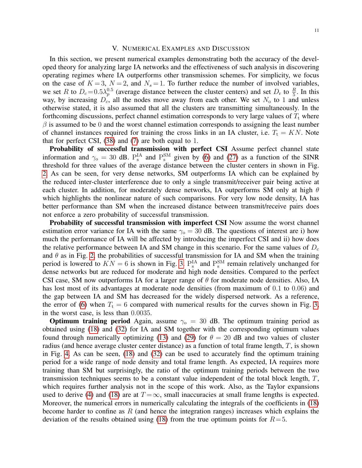#### V. NUMERICAL EXAMPLES AND DISCUSSION

<span id="page-10-0"></span>In this section, we present numerical examples demonstrating both the accuracy of the developed theory for analyzing large IA networks and the effectiveness of such analysis in discovering operating regimes where IA outperforms other transmission schemes. For simplicity, we focus on the case of  $K = 3$ ,  $N = 2$ , and  $N_s = 1$ . To further reduce the number of involved variables, we set R to  $D_c = 0.5 \lambda_p^{0.5}$  (average distance between the cluster centers) and set  $D_r$  to  $\frac{R}{5}$ . In this way, by increasing  $D_c$ , all the nodes move away from each other. We set  $N<sub>o</sub>$  to 1 and unless otherwise stated, it is also assumed that all the clusters are transmitting simultaneously. In the forthcoming discussions, perfect channel estimation corresponds to very large values of  $T_t$  where  $\beta$  is assumed to be 0 and the worst channel estimation corresponds to assigning the least number of channel instances required for training the cross links in an IA cluster, i.e.  $T_t = KN$ . Note that for perfect CSI, [\(38\)](#page-12-0) and [\(7\)](#page-4-0) are both equal to 1.

Probability of successful transmission with perfect CSI Assume perfect channel state information and  $\gamma_0 = 30$  dB.  $P_s^{\text{IA}}$  and  $P_s^{\text{SM}}$  given by [\(6\)](#page-4-3) and [\(27\)](#page-8-3) as a function of the SINR threshold for three values of the average distance between the cluster centers in shown in Fig. [2.](#page-18-1) As can be seen, for very dense networks, SM outperforms IA which can be explained by the reduced inter-cluster interference due to only a single transmit/receiver pair being active at each cluster. In addition, for moderately dense networks, IA outperforms SM only at high  $\theta$ which highlights the nonlinear nature of such comparisons. For very low node density, IA has better performance than SM when the increased distance between transmit/receive pairs does not enforce a zero probability of successful transmission.

Probability of successful transmission with imperfect CSI Now assume the worst channel estimation error variance for IA with the same  $\gamma_0 = 30$  dB. The questions of interest are i) how much the performance of IA will be affected by introducing the imperfect CSI and ii) how does the relative performance between IA and SM change in this scenario. For the same values of  $D_c$ and  $\theta$  as in Fig. [2,](#page-18-1) the probabilities of successful transmission for IA and SM when the training period is lowered to  $KN = 6$  is shown in Fig. [3.](#page-19-0)  $P_s^{\text{IA}}$  and  $P_s^{\text{SM}}$  remain relatively unchanged for dense networks but are reduced for moderate and high node densities. Compared to the perfect CSI case, SM now outperforms IA for a larger range of  $\theta$  for moderate node densities. Also, IA has lost most of its advantages at moderate node densities (from maximum of 0.1 to 0.06) and the gap between IA and SM has decreased for the widely dispersed network. As a reference, the error of [\(6\)](#page-4-3) when  $T_t = 6$  compared with numerical results for the curves shown in Fig. [3,](#page-19-0) in the worst case, is less than 0.0035.

**Optimum training period** Again, assume  $\gamma_0 = 30$  dB. The optimum training period as obtained using [\(18\)](#page-6-5) and [\(32\)](#page-9-3) for IA and SM together with the corresponding optimum values found through numerically optimizing [\(13\)](#page-5-3) and [\(29\)](#page-9-0) for  $\theta = 20$  dB and two values of cluster radius (and hence average cluster center distance) as a function of total frame length, T, is shown in Fig. [4.](#page-19-1) As can be seen, [\(18\)](#page-6-5) and [\(32\)](#page-9-3) can be used to accurately find the optimum training period for a wide range of node density and total frame length. As expected, IA requires more training than SM but surprisingly, the ratio of the optimum training periods between the two transmission techniques seems to be a constant value independent of the total block length, T, which requires further analysis not in the scope of this work. Also, as the Taylor expansions used to derive [\(4\)](#page-19-1) and [\(18\)](#page-6-5) are at  $T = \infty$ , small inaccuracies at small frame lengths is expected. Moreover, the numerical errors in numerically calculating the integrals of the coefficients in [\(18\)](#page-6-5) become harder to confine as  $R$  (and hence the integration ranges) increases which explains the deviation of the results obtained using [\(18\)](#page-6-5) from the true optimum points for  $R=5$ .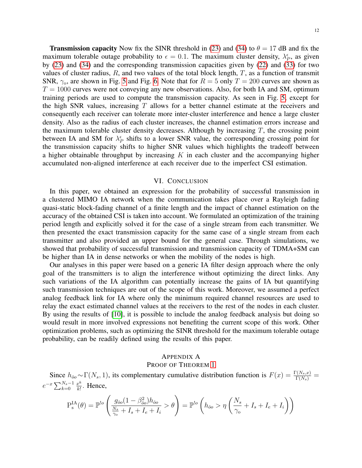**Transmission capacity** Now fix the SINR threshold in [\(23\)](#page-7-2) and [\(34\)](#page-9-4) to  $\theta = 17$  dB and fix the maximum tolerable outage probability to  $\epsilon = 0.1$ . The maximum cluster density,  $\lambda_P^{\epsilon}$ , as given by [\(23\)](#page-7-2) and [\(34\)](#page-9-4) and the corresponding transmission capacities given by [\(22\)](#page-7-1) and [\(33\)](#page-9-5) for two values of cluster radius,  $R$ , and two values of the total block length,  $T$ , as a function of transmit SNR,  $\gamma_0$ , are shown in Fig. [5](#page-20-0) and Fig. [6.](#page-20-1) Note that for  $R = 5$  only  $T = 200$  curves are shown as  $T = 1000$  curves were not conveying any new observations. Also, for both IA and SM, optimum training periods are used to compute the transmission capacity. As seen in Fig. [5,](#page-20-0) except for the high SNR values, increasing  $T$  allows for a better channel estimate at the receivers and consequently each receiver can tolerate more inter-cluster interference and hence a large cluster density. Also as the radius of each cluster increases, the channel estimation errors increase and the maximum tolerable cluster density decreases. Although by increasing  $T$ , the crossing point between IA and SM for  $\lambda_P^{\epsilon}$  shifts to a lower SNR value, the corresponding crossing point for the transmission capacity shifts to higher SNR values which highlights the tradeoff between a higher obtainable throughput by increasing  $K$  in each cluster and the accompanying higher accumulated non-aligned interference at each receiver due to the imperfect CSI estimation.

#### VI. CONCLUSION

<span id="page-11-0"></span>In this paper, we obtained an expression for the probability of successful transmission in a clustered MIMO IA network when the communication takes place over a Rayleigh fading quasi-static block-fading channel of a finite length and the impact of channel estimation on the accuracy of the obtained CSI is taken into account. We formulated an optimization of the training period length and explicitly solved it for the case of a single stream from each transmitter. We then presented the exact transmission capacity for the same case of a single stream from each transmitter and also provided an upper bound for the general case. Through simulations, we showed that probability of successful transmission and transmission capacity of TDMA+SM can be higher than IA in dense networks or when the mobility of the nodes is high.

Our analyses in this paper were based on a generic IA filter design approach where the only goal of the transmitters is to align the interference without optimizing the direct links. Any such variations of the IA algorithm can potentially increase the gains of IA but quantifying such transmission techniques are out of the scope of this work. Moreover, we assumed a perfect analog feedback link for IA where only the minimum required channel resources are used to relay the exact estimated channel values at the receivers to the rest of the nodes in each cluster. By using the results of [\[10\]](#page-16-9), it is possible to include the analog feedback analysis but doing so would result in more involved expressions not benefiting the current scope of this work. Other optimization problems, such as optimizing the SINR threshold for the maximum tolerable outage probability, can be readily defined using the results of this paper.

# <span id="page-11-1"></span>APPENDIX A

# PROOF OF THEOREM [1](#page-4-4)

Since  $h_{\hat{o}o} \sim \Gamma(N_s, 1)$ , its complementary cumulative distribution function is  $F(x) = \frac{\Gamma(N_s, x)}{\Gamma(N_s)}$  $e^{-x} \sum_{k=0}^{N_s-1}$  $x^k$  $\frac{x^k}{k!}$ . Hence,

$$
P_s^{IA}(\theta) = \mathbb{P}^{lo} \left( \frac{g_{\hat{o}o}(1 - \beta_{\hat{o}o}^2)h_{\hat{o}o}}{\frac{N_s}{\gamma_o} + I_s + I_e + I_i} > \theta \right) = \mathbb{P}^{lo} \left( h_{\hat{o}o} > \eta \left( \frac{N_s}{\gamma_o} + I_s + I_e + I_i \right) \right)
$$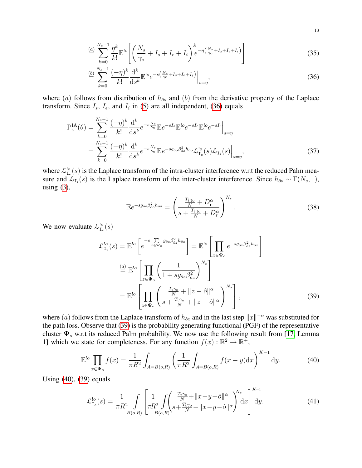<span id="page-12-5"></span>
$$
\stackrel{(a)}{=} \sum_{k=0}^{N_s-1} \frac{\eta^k}{k!} \mathbb{E}^{!o} \Bigg[ \left( \frac{N_s}{\gamma_o} + I_s + I_e + I_i \right) \stackrel{k}{e}^{-\eta \left( \frac{N_s}{\gamma_o} + I_s + I_e + I_i \right)} \Bigg] \tag{35}
$$

<span id="page-12-1"></span>
$$
\stackrel{(b)}{=} \sum_{k=0}^{N_s-1} \frac{(-\eta)^k}{k!} \frac{\mathrm{d}^k}{\mathrm{d} s^k} \mathbb{E}^{!o} e^{-s\left(\frac{N_s}{\gamma_o} + I_s + I_e + I_i\right)}\Big|_{s=\eta},\tag{36}
$$

where (a) follows from distribution of  $h_{\hat{o}o}$  and (b) from the derivative property of the Laplace transform. Since  $I_s$ ,  $I_e$ , and  $I_i$  in [\(5\)](#page-3-2) are all independent, [\(36\)](#page-12-1) equals

$$
P_s^{IA}(\theta) = \sum_{k=0}^{N_s - 1} \frac{(-\eta)^k}{k!} \frac{d^k}{ds^k} e^{-s\frac{N_s}{\gamma_o}} E e^{-sI_s} E^{lo} e^{-sI_e} E^{lo} e^{-sI_i} \Big|_{s=\eta}
$$
  
= 
$$
\sum_{k=0}^{N_s - 1} \frac{(-\eta)^k}{k!} \frac{d^k}{ds^k} e^{-s\frac{N_s}{\gamma_o}} E e^{-s g_{\hat{o}o} \beta_{\hat{o}o}^2 h_{\hat{o}o}} \mathcal{L}_{I_e}^{lo}(s) \mathcal{L}_{I_i}(s) \Big|_{s=\eta},
$$
 (37)

where  $\mathcal{L}_{I_e}^{lo}(s)$  is the Laplace transform of the intra-cluster interference w.r.t the reduced Palm measure and  $\mathcal{L}_{I_i}(s)$  is the Laplace transform of the inter-cluster interference. Since  $h_{\hat{o}o} \sim \Gamma(N_s, 1)$ , using  $(3)$ ,

<span id="page-12-6"></span><span id="page-12-2"></span><span id="page-12-0"></span>
$$
\mathbb{E}e^{-sg_{\hat{o}o}\beta_{\hat{o}o}^2h_{\hat{o}o}} = \left(\frac{\frac{T_{\rm t}\gamma_o}{N} + D_{\rm r}^\alpha}{s + \frac{T_{\rm t}\gamma_o}{N} + D_{\rm r}^\alpha}\right)^{N_s}.\tag{38}
$$

We now evaluate  $\mathcal{L}_{I_e}^{!o}(s)$ 

$$
\mathcal{L}_{I_e}^{lo}(s) = \mathbb{E}^{lo} \left[ e^{-s \sum_{z \in \Psi_o} g_{\hat{o}z} \beta_{\hat{o}z}^2 h_{\hat{o}z}} \right] = \mathbb{E}^{lo} \left[ \prod_{z \in \Psi_o} e^{-s g_{\hat{o}z} \beta_{\hat{o}z}^2 h_{\hat{o}z}} \right]
$$

$$
\stackrel{(a)}{=} \mathbb{E}^{lo} \left[ \prod_{z \in \Psi_o} \left( \frac{1}{1 + s g_{\hat{o}z} \beta_{\hat{o}z}^2} \right)^{N_s} \right]
$$

$$
= \mathbb{E}^{lo} \left[ \prod_{z \in \Psi_o} \left( \frac{\frac{T_1 \gamma_o}{N} + ||z - \hat{o}||^{\alpha}}{s + \frac{T_1 \gamma_o}{N} + ||z - \hat{o}||^{\alpha}} \right)^{N_s} \right],
$$
(39)

where (a) follows from the Laplace transform of  $h_{\hat{\sigma}z}$  and in the last step  $||x||^{-\alpha}$  was substituted for the path loss. Observe that [\(39\)](#page-12-2) is the probability generating functional (PGF) of the representative cluster  $\Psi_o$  w.r.t its reduced Palm probability. We now use the following result from [\[17,](#page-16-15) Lemma 1] which we state for completeness. For any function  $f(x): \mathbb{R}^2 \to \mathbb{R}^+$ ,

$$
\mathbb{E}^{!o} \prod_{x \in \Psi_o} f(x) = \frac{1}{\pi R^2} \int_{A = B(o,R)} \left( \frac{1}{\pi R^2} \int_{A = B(o,R)} f(x - y) dx \right)^{K-1} dy.
$$
 (40)

Using  $(40)$ ,  $(39)$  equals

<span id="page-12-4"></span><span id="page-12-3"></span>
$$
\mathcal{L}_{I_e}^{!o}(s) = \frac{1}{\pi R^2} \int_{B(o,R)} \left[ \frac{1}{\pi R^2} \int_{B(o,R)} \left( \frac{\frac{T_t \gamma_o}{N} + ||x - y - \hat{o}||^{\alpha}}{s + \frac{T_t \gamma_o}{N} + ||x - y - \hat{o}||^{\alpha}} \right)^{N_s} dx \right]^{K-1} dy.
$$
 (41)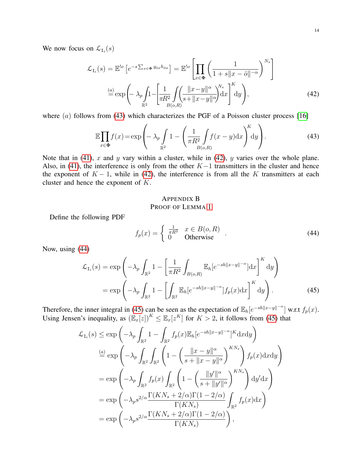We now focus on  $\mathcal{L}_{I_i}(s)$ 

$$
\mathcal{L}_{\mathrm{I}_{i}}(s) = \mathbb{E}^{\mathrm{lo}}\left[e^{-s\sum_{x\in\Phi}g_{\delta x}h_{\delta x}}\right] = \mathbb{E}^{\mathrm{lo}}\left[\prod_{x\in\Phi}\left(\frac{1}{1+s\|x-\hat{o}\|^{-\alpha}}\right)^{N_{s}}\right]
$$

$$
\stackrel{(a)}{=} \exp\left(-\lambda_{p}\int_{\mathbb{R}^{2}}1-\left[\frac{1}{\pi R^{2}}\int_{B(o,R)}\left(\frac{\|x-y\|^{\alpha}}{s+\|x-y\|^{\alpha}}\right)^{N_{s}}\right]^{K}\mathrm{d}y\right),\tag{42}
$$

where  $(a)$  follows from [\(43\)](#page-13-1) which characterizes the PGF of a Poisson cluster process [\[16\]](#page-16-14)

$$
\mathbb{E}\prod_{x\in\Phi}f(x) = \exp\left(-\lambda_p \int\limits_{\mathbb{R}^2} 1 - \left(\frac{1}{\pi R^2} \int\limits_{B(o,R)} f(x-y) \mathrm{d}x\right)^K \mathrm{d}y\right). \tag{43}
$$

Note that in [\(41\)](#page-12-4), x and y vary within a cluster, while in [\(42\)](#page-13-2), y varies over the whole plane. Also, in [\(41\)](#page-12-4), the interference is only from the other  $K-1$  transmitters in the cluster and hence the exponent of  $K - 1$ , while in [\(42\)](#page-13-2), the interference is from all the K transmitters at each cluster and hence the exponent of K.

## <span id="page-13-4"></span><span id="page-13-3"></span><span id="page-13-2"></span><span id="page-13-1"></span><span id="page-13-0"></span>APPENDIX B PROOF OF LEMMA [1](#page-5-0)

Define the following PDF

$$
f_p(x) = \begin{cases} \frac{1}{\pi R^2} & x \in B(o, R) \\ 0 & \text{Otherwise} \end{cases}
$$
 (44)

Now, using [\(44\)](#page-13-3)

$$
\mathcal{L}_{\mathrm{I}_{i}}(s) = \exp\left(-\lambda_{p} \int_{\mathbb{R}^{2}} 1 - \left[\frac{1}{\pi R^{2}} \int_{B(o,R)} \mathbb{E}_{h}[e^{-sh||x-y||^{-\alpha}}] dx\right]^{K} dy\right)
$$

$$
= \exp\left(-\lambda_{p} \int_{\mathbb{R}^{2}} 1 - \left[\int_{\mathbb{R}^{2}} \mathbb{E}_{h}[e^{-sh||x-y||^{-\alpha}}] f_{p}(x) dx\right]^{K} dy\right).
$$
(45)

Therefore, the inner integral in [\(45\)](#page-13-4) can be seen as the expectation of  $\mathbb{E}_h[e^{-sh||x-y||^{-\alpha}}]$  w.r.t  $f_p(x)$ . Using Jensen's inequality, as  $(\mathbb{E}_x[z])^K \leq \mathbb{E}_x[z^K]$  for  $K > 2$ , it follows from [\(45\)](#page-13-4) that

$$
\mathcal{L}_{\mathrm{I}_{i}}(s) \leq \exp\left(-\lambda_{p} \int_{\mathbb{R}^{2}} 1 - \int_{\mathbb{R}^{2}} f_{p}(x) \mathbb{E}_{h} [e^{-sh||x-y||^{-\alpha}}]^{K} \mathrm{d}x \mathrm{d}y\right)
$$

$$
\stackrel{(a)}{=} \exp\left(-\lambda_{p} \int_{\mathbb{R}^{2}} \int_{\mathbb{R}^{2}} \left(1 - \left(\frac{||x-y||^{\alpha}}{s+||x-y||^{\alpha}}\right)^{KN_{s}}\right) f_{p}(x) \mathrm{d}x \mathrm{d}y\right)
$$

$$
= \exp\left(-\lambda_{p} \int_{\mathbb{R}^{2}} f_{p}(x) \int_{\mathbb{R}^{2}} \left(1 - \left(\frac{||y'||^{\alpha}}{s+||y'||^{\alpha}}\right)^{KN_{s}}\right) \mathrm{d}y' \mathrm{d}x\right)
$$

$$
= \exp\left(-\lambda_{p} s^{2/\alpha} \frac{\Gamma(KN_{s} + 2/\alpha)\Gamma(1 - 2/\alpha)}{\Gamma(KN_{s})} \int_{\mathbb{R}^{2}} f_{p}(x) \mathrm{d}x\right)
$$

$$
= \exp\left(-\lambda_{p} s^{2/\alpha} \frac{\Gamma(KN_{s} + 2/\alpha)\Gamma(1 - 2/\alpha)}{\Gamma(KN_{s})}\right),
$$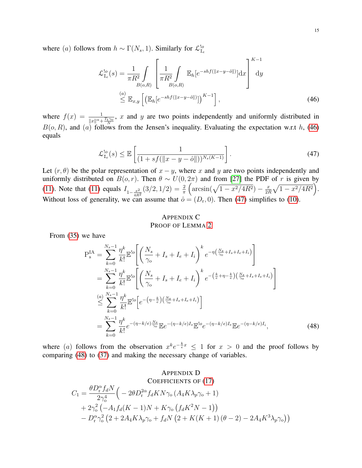where (a) follows from  $h \sim \Gamma(N_s, 1)$ . Similarly for  $\mathcal{L}_{I_e}^{!o}$ 

$$
\mathcal{L}_{\mathrm{I}_{e}}^{!o}(s) = \frac{1}{\pi R^{2}} \int_{B(o,R)} \left[ \frac{1}{\pi R^{2}} \int_{B(o,R)} \mathbb{E}_{h}[e^{-shf(||x-y-\hat{o}||)}] dx \right]^{K-1} dy
$$
\n
$$
\stackrel{(a)}{\leq} \mathbb{E}_{x,y} \left[ \left( \mathbb{E}_{h}[e^{-shf(||x-y-\hat{o}||)}] \right)^{K-1} \right], \tag{46}
$$

where  $f(x) = \frac{1}{\|x\|^{\alpha} + \frac{T_1 \gamma_0}{N}}$ , x and y are two points independently and uniformly distributed in  $B(o, R)$ , and  $\left(a\right)^{n}$  follows from the Jensen's inequality. Evaluating the expectation w.r.t h, [\(46\)](#page-14-2) equals

$$
\mathcal{L}_{\mathrm{I}_{e}}^{!o}(s) \leq \mathbb{E}\left[\frac{1}{(1 + sf(\|x - y - \hat{o}\|))^{N_{s}(K-1)}}\right].
$$
\n(47)

Let  $(r, \theta)$  be the polar representation of  $x - y$ , where x and y are two points independently and uniformly distributed on  $B(o, r)$ . Then  $\theta \sim U(0, 2\pi)$  and from [\[27\]](#page-16-25) the PDF of r is given by [\(11\)](#page-5-6). Note that (11) equals  $I_{1-\frac{x^2}{4R^2}}(3/2,1/2) = \frac{2}{\pi} \left( \arcsin(\sqrt{1-x^2/4R^2}) - \frac{x^2}{2R^2} \right)$  $\frac{x}{2R}\sqrt{1-x^2/4R^2}\Big).$ Without loss of generality, we can assume that  $\hat{o} = (D_r, 0)$ . Then [\(47\)](#page-14-3) simplifies to [\(10\)](#page-5-5).

### <span id="page-14-3"></span><span id="page-14-2"></span><span id="page-14-0"></span>APPENDIX C PROOF OF LEMMA [2](#page-5-1)

From [\(35\)](#page-12-5) we have

$$
P_{s}^{IA} = \sum_{k=0}^{N_{s}-1} \frac{\eta^{k}}{k!} \mathbb{E}^{!o} \Bigg[ \left( \frac{N_{s}}{\gamma_{o}} + I_{s} + I_{e} + I_{i} \right)^{k} e^{-\eta \left( \frac{N_{s}}{\gamma_{o}} + I_{s} + I_{e} + I_{i} \right)} \Bigg] = \sum_{k=0}^{N_{s}-1} \frac{\eta^{k}}{k!} \mathbb{E}^{!o} \Bigg[ \left( \frac{N_{s}}{\gamma_{o}} + I_{s} + I_{e} + I_{i} \right)^{k} e^{-\left( \frac{k}{e} + \eta - \frac{k}{e} \right) \left( \frac{N_{s}}{\gamma_{o}} + I_{s} + I_{e} + I_{i} \right)} \Bigg] \leq \sum_{k=0}^{(a)} \frac{N_{s}-1}{k!} \frac{\eta^{k}}{k!} \mathbb{E}^{!o} \Bigg[ e^{-\left( \eta - \frac{k}{e} \right) \left( \frac{N_{s}}{\gamma_{o}} + I_{s} + I_{e} + I_{i} \right)} \Bigg] = \sum_{k=0}^{N_{s}-1} \frac{\eta^{k}}{k!} e^{-\left( \eta - k/e \right) \frac{N_{s}}{\gamma_{o}}} \mathbb{E} e^{-\left( \eta - k/e \right) I_{s}} \mathbb{E}^{!o} e^{-\left( \eta - k/e \right) I_{e}} \mathbb{E} e^{-\left( \eta - k/e \right) I_{i}}, \tag{48}
$$

where (a) follows from the observation  $x^k e^{-\frac{k}{e}x} \leq 1$  for  $x > 0$  and the proof follows by comparing [\(48\)](#page-14-4) to [\(37\)](#page-12-6) and making the necessary change of variables.

## <span id="page-14-4"></span><span id="page-14-1"></span>APPENDIX D

CDEFICIENTS OF (17)  
\n
$$
C_{1} = \frac{\theta D_{r}^{\alpha} f_{d} N}{2\gamma_{0}^{4}} \left( -2\theta D_{r}^{2\alpha} f_{d} KN\gamma_{0} (A_{4} K\lambda_{p}\gamma_{0} + 1) + 2\gamma_{0}^{2} \left( -A_{1} f_{d} (K - 1)N + K\gamma_{0} (f_{d} K^{2} N - 1) \right) - D_{r}^{\alpha} \gamma_{0}^{2} (2 + 2A_{4} K\lambda_{p}\gamma_{0} + f_{d} N (2 + K(K + 1) (\theta - 2) - 2A_{4} K^{3} \lambda_{p}\gamma_{0}) \right)
$$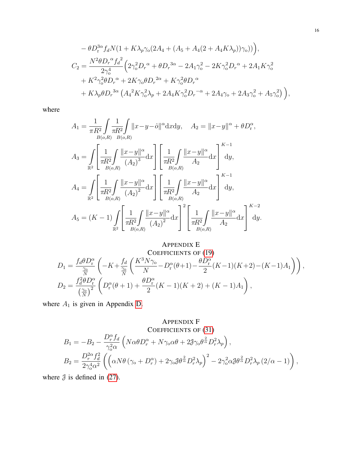$$
- \theta D_{r}^{3\alpha} f_{d} N (1 + K\lambda_{p} \gamma_{o} (2A_{4} + (A_{5} + A_{4}(2 + A_{4}K\lambda_{p}))\gamma_{o}))) ,
$$
  
\n
$$
C_{2} = \frac{N^{2} \theta D_{r}^{\alpha} f_{d}^{2}}{2\gamma_{o}^{4}} \Big( 2\gamma_{o}^{2} D_{r}^{\alpha} + \theta D_{r}^{3\alpha} - 2A_{1}\gamma_{o}^{2} - 2K\gamma_{o}^{2} D_{r}^{\alpha} + 2A_{1}K\gamma_{o}^{2} + K^{2}\gamma_{o}^{2} \theta D_{r}^{\alpha} + 2K\gamma_{o} \theta D_{r}^{2\alpha} + K\gamma_{o}^{2} \theta D_{r}^{\alpha} + K\lambda_{p} \theta D_{r}^{3\alpha} (A_{4}^{2} K\gamma_{o}^{2} \lambda_{p} + 2A_{4}K\gamma_{o}^{2} D_{r}^{-\alpha} + 2A_{4}\gamma_{o} + 2A_{3}\gamma_{o}^{2} + A_{5}\gamma_{o}^{2}) \Big),
$$

where

$$
A_{1} = \frac{1}{\pi R^{2}} \int \frac{1}{\pi R^{2}} \int \left\|x - y - \hat{o}\right\|^{\alpha} dx dy, \quad A_{2} = \|x - y\|^{\alpha} + \theta D_{r}^{\alpha},
$$
  
\n
$$
A_{3} = \int \left[\frac{1}{\pi R^{2}} \int \frac{\|x - y\|^{\alpha}}{(A_{2})^{3}} dx\right] \left[\frac{1}{\pi R^{2}} \int \frac{\|x - y\|^{\alpha}}{A_{2}} dx\right] \left[\frac{x - y\|^{\alpha}}{A_{2}} dx\right] dy,
$$
  
\n
$$
A_{4} = \int \left[\frac{1}{\pi R^{2}} \int \frac{\|x - y\|^{\alpha}}{(A_{2})^{2}} dx\right] \left[\frac{1}{\pi R^{2}} \int \frac{\|x - y\|^{\alpha}}{A_{2}} dx\right] \left[\frac{x - y\|^{\alpha}}{A_{2}} dx\right] dy,
$$
  
\n
$$
A_{5} = (K - 1) \int \left[\frac{1}{\pi R^{2}} \int \frac{\|x - y\|^{\alpha}}{(A_{2})^{2}} dx\right]^{2} \left[\frac{1}{\pi R^{2}} \int \frac{\|x - y\|^{\alpha}}{A_{2}} dx\right] \left[\frac{x - y\|^{\alpha}}{A_{2}} dx\right] dx.
$$
  
\n
$$
A_{6} = (K - 1) \int \left[\frac{1}{\pi R^{2}} \int \frac{\|x - y\|^{\alpha}}{(A_{2})^{2}} dx\right]^{2} \left[\frac{1}{\pi R^{2}} \int \frac{\|x - y\|^{\alpha}}{A_{2}} dx\right] dx
$$

# <span id="page-15-1"></span><span id="page-15-0"></span>APPENDIX E

$$
D_1 = \frac{f_d\theta D_r^{\alpha}}{\frac{\gamma_0}{N}} \left( -K + \frac{f_d}{\frac{\gamma_0}{N}} \left( \frac{K^3 N \gamma_0}{N} - D_r^{\alpha}(\theta + 1) - \frac{\theta D_r^{\alpha}}{2} (K - 1)(K + 2) - (K - 1)A_1 \right) \right),
$$
  
\n
$$
D_2 = \frac{f_d^2 \theta D_r^{\alpha}}{\left( \frac{\gamma_0}{N} \right)^2} \left( D_r^{\alpha}(\theta + 1) + \frac{\theta D_r^{\alpha}}{2} (K - 1)(K + 2) + (K - 1)A_1 \right),
$$

where  $A_1$  is given in Appendix [D.](#page-14-1)

APPENDIX F  
\nCOEFFICIENTS OF (31)  
\n
$$
B_1 = -B_2 - \frac{D_r^{\alpha} f_d}{\gamma_o^2 \alpha} \left( N \alpha \theta D_r^{\alpha} + N \gamma_o \alpha \theta + 2 \mathcal{J} \gamma_o \theta^{\frac{2}{\alpha}} D_r^2 \lambda_p \right),
$$
\n
$$
B_2 = \frac{D_r^{2\alpha} f_d^2}{2\gamma_o^4 \alpha^2} \left( \left( \alpha N \theta \left( \gamma_o + D_r^{\alpha} \right) + 2 \gamma_o \mathcal{J} \theta^{\frac{2}{\alpha}} D_r^2 \lambda_p \right)^2 - 2 \gamma_o^2 \alpha \mathcal{J} \theta^{\frac{2}{\alpha}} D_r^2 \lambda_p \left( 2/\alpha - 1 \right) \right),
$$

where  $\beta$  is defined in [\(27\)](#page-8-3).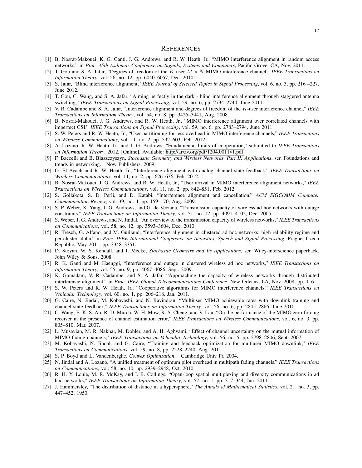#### **REFERENCES**

- <span id="page-16-6"></span>[1] B. Nosrat-Makouei, K. G. Ganti, J. G. Andrews, and R. W. Heath, Jr., "MIMO interference alignment in random access networks," in *Proc. 45th Asilomar Conference on Signals, Systems and Computers*, Pacific Grove, CA, Nov. 2011.
- <span id="page-16-0"></span>[2] T. Gou and S. A. Jafar, "Degrees of freedom of the K user M × N MIMO interference channel," *IEEE Transactions on Information Theory*, vol. 56, no. 12, pp. 6040–6057, Dec. 2010.
- <span id="page-16-1"></span>[3] S. Jafar, "Blind interference alignment," *IEEE Journal of Selected Topics in Signal Processing*, vol. 6, no. 3, pp. 216 –227, June 2012.
- <span id="page-16-2"></span>[4] T. Gou, C. Wang, and S. A. Jafar, "Aiming perfectly in the dark - blind interference alignment through staggered antenna switching," *IEEE Transactions on Signal Processing*, vol. 59, no. 6, pp. 2734–2744, June 2011.
- <span id="page-16-3"></span>[5] V. R. Cadambe and S. A. Jafar, "Interference alignment and degrees of freedom of the K-user interference channel," *IEEE Transactions on Information Theory*, vol. 54, no. 8, pp. 3425–3441, Aug. 2008.
- <span id="page-16-4"></span>[6] B. Nosrat-Makouei, J. G. Andrews, and R. W. Heath, Jr., "MIMO interference alignment over correlated channels with imperfect CSI," *IEEE Transactions on Signal Processing*, vol. 59, no. 6, pp. 2783–2794, June 2011.
- <span id="page-16-5"></span>[7] S. W. Peters and R. W. Heath, Jr., "User partitioning for less overhead in MIMO interference channels," *IEEE Transactions on Wireless Communications*, vol. 11, no. 2, pp. 592–603, Feb. 2012.
- <span id="page-16-7"></span>[8] A. Lozano, R. W. Heath, Jr., and J. G. Andrews, "Fundamental limits of cooperation," submitted to *IEEE Transactions on Information Theory*, 2012. [Online]. Available:<http://arxiv.org/pdf/1204.0011v1.pdf>
- <span id="page-16-8"></span>[9] F. Baccelli and B. Blaszczyszyn, *Stochastic Geometry and Wireless Networks, Part II: Applications*, ser. Foundations and trends in networking. Now Publishers, 2009.
- <span id="page-16-9"></span>[10] O. El Ayach and R. W. Heath, Jr., "Interference alignment with analog channel state feedback," *IEEE Transactions on Wireless Communications*, vol. 11, no. 2, pp. 626–636, Feb. 2012.
- [11] B. Nosrat-Makouei, J. G. Andrews, and R. W. Heath, Jr., "User arrival in MIMO interference alignment networks," *IEEE Transactions on Wireless Communications*, vol. 11, no. 2, pp. 842–851, Feb. 2012.
- <span id="page-16-10"></span>[12] S. Gollakota, S. D. Perli, and D. Katabi, "Interference alignment and cancellation," *ACM SIGCOMM Computer Communication Review*, vol. 39, no. 4, pp. 159–170, Aug. 2009.
- <span id="page-16-11"></span>[13] S. P. Weber, X. Yang, J. G. Andrews, and G. de Veciana, "Transmission capacity of wireless ad hoc networks with outage constraints," *IEEE Transactions on Information Theory*, vol. 51, no. 12, pp. 4091–4102, Dec. 2005.
- <span id="page-16-12"></span>[14] S. Weber, J. G. Andrews, and N. Jindal, "An overview of the transmission capacity of wireless networks," *IEEE Transactions on Communications*, vol. 58, no. 12, pp. 3593–3604, Dec. 2010.
- <span id="page-16-13"></span>[15] R. Tresch, G. Alfano, and M. Guillaud, "Interference alignment in clustered ad hoc networks: high reliability regime and per-cluster aloha," in *Proc. IEEE International Conference on Acoustics, Speech and Signal Processing*, Prague, Czech Republic, May 2011, pp. 3348–3351.
- <span id="page-16-14"></span>[16] D. Stoyan, W. S. Kendall, and J. Mecke, *Stochastic Geometry and Its Applications*, ser. Wiley-interscience paperback. John Wiley & Sons, 2008.
- <span id="page-16-15"></span>[17] R. K. Ganti and M. Haenggi, "Interference and outage in clustered wireless ad hoc networks," *IEEE Transactions on Information Theory*, vol. 55, no. 9, pp. 4067–4086, Sept. 2009.
- <span id="page-16-17"></span>[18] K. Gomadam, V. R. Cadambe, and S. A. Jafar, "Approaching the capacity of wireless networks through distributed interference alignment," in *Proc. IEEE Global Telecommunications Conference*, New Orleans, LA, Nov. 2008, pp. 1–6.
- <span id="page-16-16"></span>[19] S. W. Peters and R. W. Heath, Jr., "Cooperative algorithms for MIMO interference channels," *IEEE Transactions on Vehicular Technology*, vol. 60, no. 1, pp. 206–218, Jan. 2011.
- <span id="page-16-18"></span>[20] G. Caire, N. Jindal, M. Kobayashi, and N. Ravindran, "Multiuser MIMO achievable rates with downlink training and channel state feedback," *IEEE Transactions on Information Theory*, vol. 56, no. 6, pp. 2845–2866, June 2010.
- <span id="page-16-19"></span>[21] C. Wang, E. K. S. Au, R. D. Murch, W. H. Mow, R. S. Cheng, and V. Lau, "On the performance of the MIMO zero-forcing receiver in the presence of channel estimation error," *IEEE Transactions on Wireless Communications*, vol. 6, no. 3, pp. 805–810, Mar. 2007.
- <span id="page-16-20"></span>[22] L. Musavian, M. R. Nakhai, M. Dohler, and A. H. Aghvami, "Effect of channel uncertainty on the mutual information of MIMO fading channels," *IEEE Transactions on Vehicular Technology*, vol. 56, no. 5, pp. 2798–2806, Sept. 2007.
- <span id="page-16-21"></span>[23] M. Kobayashi, N. Jindal, and G. Caire, "Training and feedback optimization for multiuser MIMO downlink," *IEEE Transactions on Communications*, vol. 59, no. 8, pp. 2228–2240, Aug. 2011.
- <span id="page-16-22"></span>[24] S. P. Boyd and L. Vandenberghe, *Convex Optimization*. Cambridge Univ Pr, 2004.
- <span id="page-16-23"></span>[25] N. Jindal and A. Lozano, "A unified treatment of optimum pilot overhead in multipath fading channels," *IEEE Transactions on Communications*, vol. 58, no. 10, pp. 2939–2948, Oct. 2010.
- <span id="page-16-24"></span>[26] R. H. Y. Louie, M. R. McKay, and I. B. Collings, "Open-loop spatial multiplexing and diversity communications in ad hoc networks," *IEEE Transactions on Information Theory*, vol. 57, no. 1, pp. 317–344, Jan. 2011.
- <span id="page-16-25"></span>[27] J. Hammersley, "The distribution of distance in a hypersphere," *The Annals of Mathematical Statistics*, vol. 21, no. 3, pp. 447–452, 1950.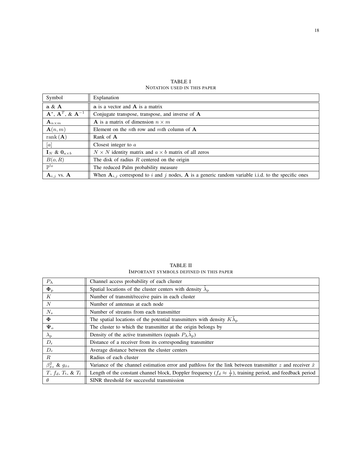<span id="page-17-0"></span>

| Symbol                                         | Explanation                                                                                            |
|------------------------------------------------|--------------------------------------------------------------------------------------------------------|
| a & A                                          | $\bf{a}$ is a vector and $\bf{A}$ is a matrix                                                          |
| ${\bf A}^{*},\,{\bf A}^{T},\,\&\,{\bf A}^{-1}$ | Conjugate transpose, transpose, and inverse of A                                                       |
| $\mathbf{A}_{n \times m}$                      | <b>A</b> is a matrix of dimension $n \times m$                                                         |
| $\mathbf{A}(n,m)$                              | Element on the <i>n</i> th row and <i>m</i> th column of $\bf{A}$                                      |
| rank $(A)$                                     | Rank of A                                                                                              |
| [a]                                            | Closest integer to $a$                                                                                 |
| $I_N$ & $0_{a \times b}$                       | $N \times N$ identity matrix and $a \times b$ matrix of all zeros                                      |
| B(o, R)                                        | The disk of radius $R$ centered on the origin                                                          |
| $\mathbb{P}^{!o}$                              | The reduced Palm probability measure                                                                   |
| $\mathbf{A}_{i,j}$ vs. $\mathbf{A}$            | When $A_{i,j}$ correspond to i and j nodes, A is a generic random variable i.i.d. to the specific ones |

TABLE I NOTATION USED IN THIS PAPER

TABLE II IMPORTANT SYMBOLS DEFINED IN THIS PAPER

<span id="page-17-1"></span>

| $P_{\rm A}$                           | Channel access probability of each cluster                                                                                 |
|---------------------------------------|----------------------------------------------------------------------------------------------------------------------------|
| $\Phi_{\rm p}$                        | Spatial locations of the cluster centers with density $\lambda_{\rm p}$                                                    |
| K                                     | Number of transmit/receive pairs in each cluster                                                                           |
| $\boldsymbol{N}$                      | Number of antennas at each node                                                                                            |
| $N_{s}$                               | Number of streams from each transmitter                                                                                    |
| $\Phi$                                | The spatial locations of the potential transmitters with density $K\lambda_p$                                              |
| $\Psi_o$                              | The cluster to which the transmitter at the origin belongs by                                                              |
| $\lambda_{\rm p}$                     | Density of the active transmitters (equals $P_A \tilde{\lambda}_D$ )                                                       |
| $D_{r}$                               | Distance of a receiver from its corresponding transmitter                                                                  |
| $D_c$                                 | Average distance between the cluster centers                                                                               |
| $\boldsymbol{R}$                      | Radius of each cluster                                                                                                     |
| $\beta_{\hat{x}z}^2$ & $g_{\hat{x}z}$ | Variance of the channel estimation error and pathloss for the link between transmitter z and receiver $\hat{x}$            |
| $T, f_d, T_t, \& T_t$                 | Length of the constant channel block, Doppler frequency $(f_d \approx \frac{1}{T})$ , training period, and feedback period |
| $\theta$                              | SINR threshold for successful transmission                                                                                 |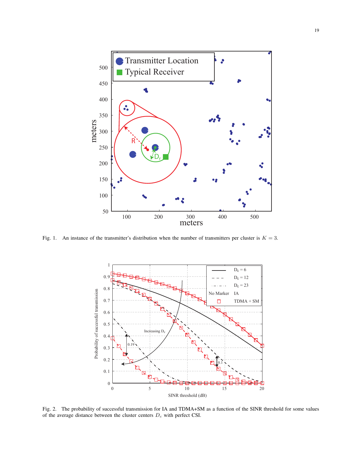

<span id="page-18-0"></span>Fig. 1. An instance of the transmitter's distribution when the number of transmitters per cluster is  $K = 3$ .



<span id="page-18-1"></span>Fig. 2. The probability of successful transmission for IA and TDMA+SM as a function of the SINR threshold for some values of the average distance between the cluster centers  $D_c$  with perfect CSI.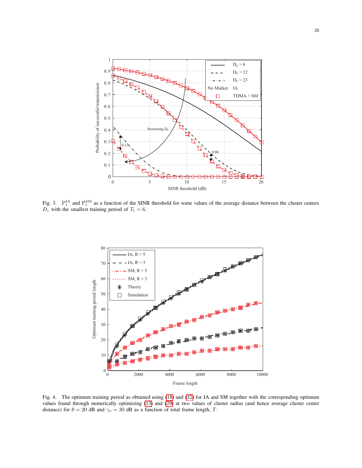

<span id="page-19-0"></span>Fig. 3.  $P_s^{IA}$  and  $P_s^{SM}$  as a function of the SINR threshold for some values of the average distance between the cluster centers  $D_c$  with the smallest training period of  $T<sub>t</sub> = 6$ .



<span id="page-19-1"></span>Fig. 4. The optimum training period as obtained using [\(18\)](#page-6-5) and [\(32\)](#page-9-3) for IA and SM together with the corresponding optimum values found through numerically optimizing [\(13\)](#page-5-3) and [\(29\)](#page-9-0) at two values of cluster radius (and hence average cluster center distance) for  $\theta = 20$  dB and  $\gamma$ <sub>o</sub> = 30 dB as a function of total frame length, T.